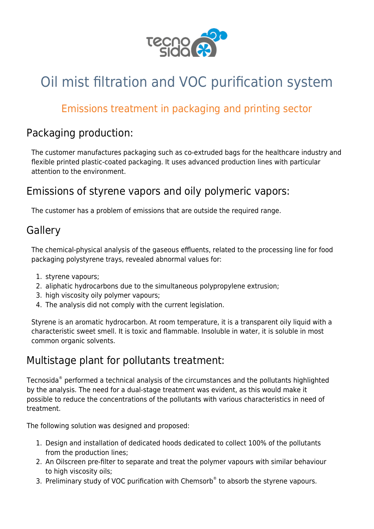

# Oil mist filtration and VOC purification system

# Emissions treatment in packaging and printing sector

### Packaging production:

The customer manufactures packaging such as co-extruded bags for the healthcare industry and flexible printed plastic-coated packaging. It uses advanced production lines with particular attention to the environment.

# Emissions of styrene vapors and oily polymeric vapors:

The customer has a problem of emissions that are outside the required range.

### **Gallery**

The chemical-physical analysis of the gaseous effluents, related to the processing line for food packaging polystyrene trays, revealed abnormal values for:

- 1. [styrene vapours;](https://www.tecnosida.com/volatile-organic-compounds-vocs)
- 2. [aliphatic hydrocarbons](https://www.tecnosida.com/volatile-organic-compounds-vocs) due to the simultaneous polypropylene extrusion;
- 3. [high viscosity oily](https://www.tecnosida.com/oil-mist-properties-behaviour-and-filtration-technology) polymer vapours;
- 4. The analysis did not comply with the current legislation.

Styrene is an aromatic hydrocarbon. At room temperature, it is a transparent oily liquid with a characteristic sweet smell. It is toxic and flammable. Insoluble in water, it is soluble in most common organic solvents.

# Multistage plant for pollutants treatment:

Tecnosida® performed a [technical analysis](https://www.tecnosida.com/services-and-consulting-for-the-environment) of the circumstances and the pollutants highlighted by the analysis. The need for a dual-stage treatment was evident, as this would make it possible to reduce the concentrations of the pollutants with various characteristics in need of treatment.

The following solution was designed and proposed:

- 1. [Design](https://www.tecnosida.com/services-and-consulting-for-the-environment) and [installation](https://www.tecnosida.com/services-and-consulting-for-the-environment) of dedicated [hoods](https://www.tecnosida.com/fumes-hoods-industrial-ventilation) dedicated to collect 100% of the pollutants from the production lines;
- 2. An [Oilscreen](http://www.tecnosida.com/309/Oilscreen_filter_oil_mist_tar_emulsion) pre-filter to separate and treat the polymer vapours with similar behaviour to high [viscosity](https://www.tecnosida.com/oil-mist-properties-behaviour-and-filtration-technology) oils;
- 3. Preliminary study of [VOC](https://www.tecnosida.com/air-scrubber-purification-system) purification with Chemsorb® to absorb the styrene vapours.